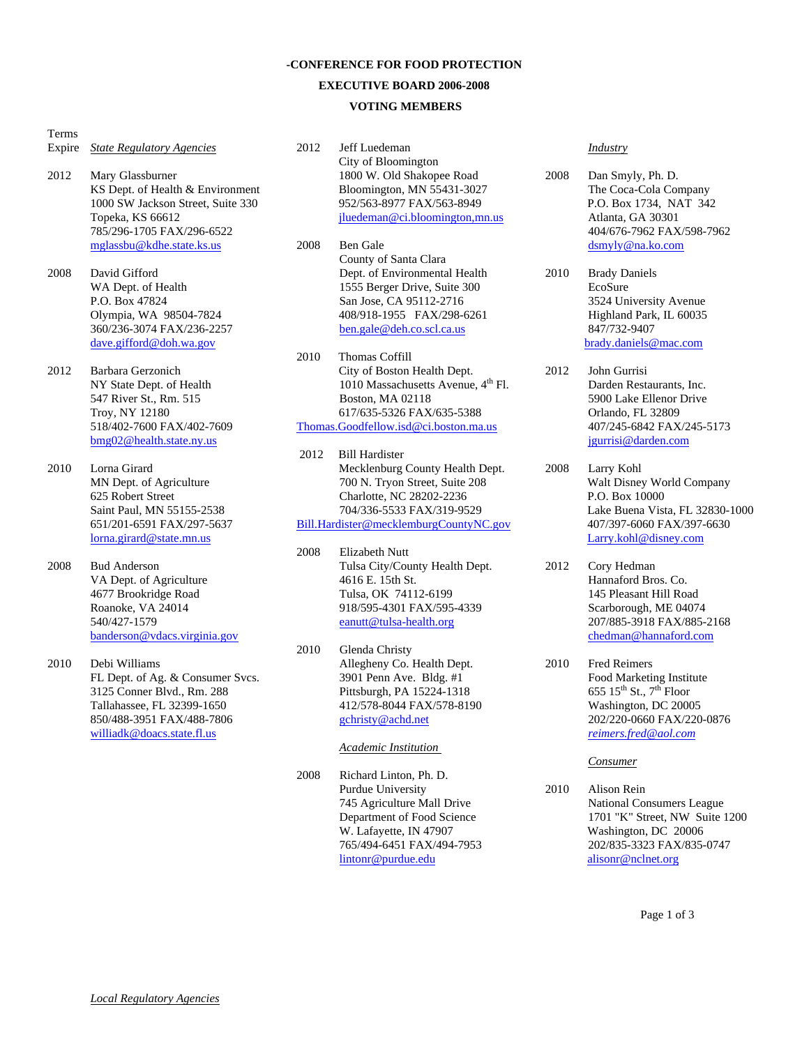### **-CONFERENCE FOR FOOD PROTECTION**

#### **EXECUTIVE BOARD 2006-2008**

### **VOTING MEMBERS**

Terms

- Expire *State Regulatory Agencies*
- 2012 Mary Glassburner KS Dept. of Health & Environment 1000 SW Jackson Street, Suite 330 Topeka, KS 66612 785/296-1705 FAX/296-6522 mglassbu@kdhe.state.ks.us

2008 David Gifford WA Dept. of Health P.O. Box 47824 Olympia, WA 98504-7824 360/236-3074 FAX/236-2257 dave.gifford@doh.wa.gov

- 2012 Barbara Gerzonich NY State Dept. of Health 547 River St., Rm. 515 Troy, NY 12180 518/402-7600 FAX/402-7609 bmg02@health.state.ny.us
- 2010 Lorna Girard MN Dept. of Agriculture 625 Robert Street Saint Paul, MN 55155-2538 651/201-6591 FAX/297-5637 lorna.girard@state.mn.us
- 2008 Bud Anderson VA Dept. of Agriculture 4677 Brookridge Road Roanoke, VA 24014 540/427-1579 banderson@vdacs.virginia.gov
- 2010 Debi Williams FL Dept. of Ag. & Consumer Svcs. 3125 Conner Blvd., Rm. 288 Tallahassee, FL 32399-1650 850/488-3951 FAX/488-7806 williadk@doacs.state.fl.us
- 2012 Jeff Luedeman City of Bloomington 1800 W. Old Shakopee Road Bloomington, MN 55431-3027 952/563-8977 FAX/563-8949 jluedeman@ci.bloomington,mn.us
- 2008 Ben Gale County of Santa Clara Dept. of Environmental Health 1555 Berger Drive, Suite 300 San Jose, CA 95112-2716 408/918-1955 FAX/298-6261 ben.gale@deh.co.scl.ca.us
- 2010 Thomas Coffill City of Boston Health Dept. 1010 Massachusetts Avenue, 4<sup>th</sup> Fl. Boston, MA 02118 617/635-5326 FAX/635-5388 Thomas.Goodfellow.isd@ci.boston.ma.us
- 2012 Bill Hardister Mecklenburg County Health Dept. 700 N. Tryon Street, Suite 208 Charlotte, NC 28202-2236 704/336-5533 FAX/319-9529 Bill.Hardister@mecklemburgCountyNC.gov
- 2008 Elizabeth Nutt Tulsa City/County Health Dept. 4616 E. 15th St. Tulsa, OK 74112-6199 918/595-4301 FAX/595-4339 eanutt@tulsa-health.org
- 2010 Glenda Christy Allegheny Co. Health Dept. 3901 Penn Ave. Bldg. #1 Pittsburgh, PA 15224-1318 412/578-8044 FAX/578-8190 gchristy@achd.net

### *Academic Institution*

2008 Richard Linton, Ph. D. Purdue University 745 Agriculture Mall Drive Department of Food Science W. Lafayette, IN 47907 765/494-6451 FAX/494-7953 lintonr@purdue.edu

#### *Industry*

- 2008 Dan Smyly, Ph. D. The Coca-Cola Company P.O. Box 1734, NAT 342 Atlanta, GA 30301 404/676-7962 FAX/598-7962 dsmyly@na.ko.com
- 2010 Brady Daniels EcoSure 3524 University Avenue Highland Park, IL 60035 847/732-9407 brady.daniels@mac.com
- 2012 John Gurrisi Darden Restaurants, Inc. 5900 Lake Ellenor Drive Orlando, FL 32809 407/245-6842 FAX/245-5173 jgurrisi@darden.com

2008 Larry Kohl Walt Disney World Company P.O. Box 10000 Lake Buena Vista, FL 32830-1000 407/397-6060 FAX/397-6630 Larry.kohl@disney.com

- 2012 Cory Hedman Hannaford Bros. Co. 145 Pleasant Hill Road Scarborough, ME 04074 207/885-3918 FAX/885-2168 chedman@hannaford.com
- 2010 Fred Reimers Food Marketing Institute 655  $15^{th}$  St.,  $7^{th}$  Floor Washington, DC 20005 202/220-0660 FAX/220-0876 *reimers.fred@aol.com*

#### *Consumer*

2010 Alison Rein National Consumers League 1701 "K" Street, NW Suite 1200 Washington, DC 20006 202/835-3323 FAX/835-0747 alisonr@nclnet.org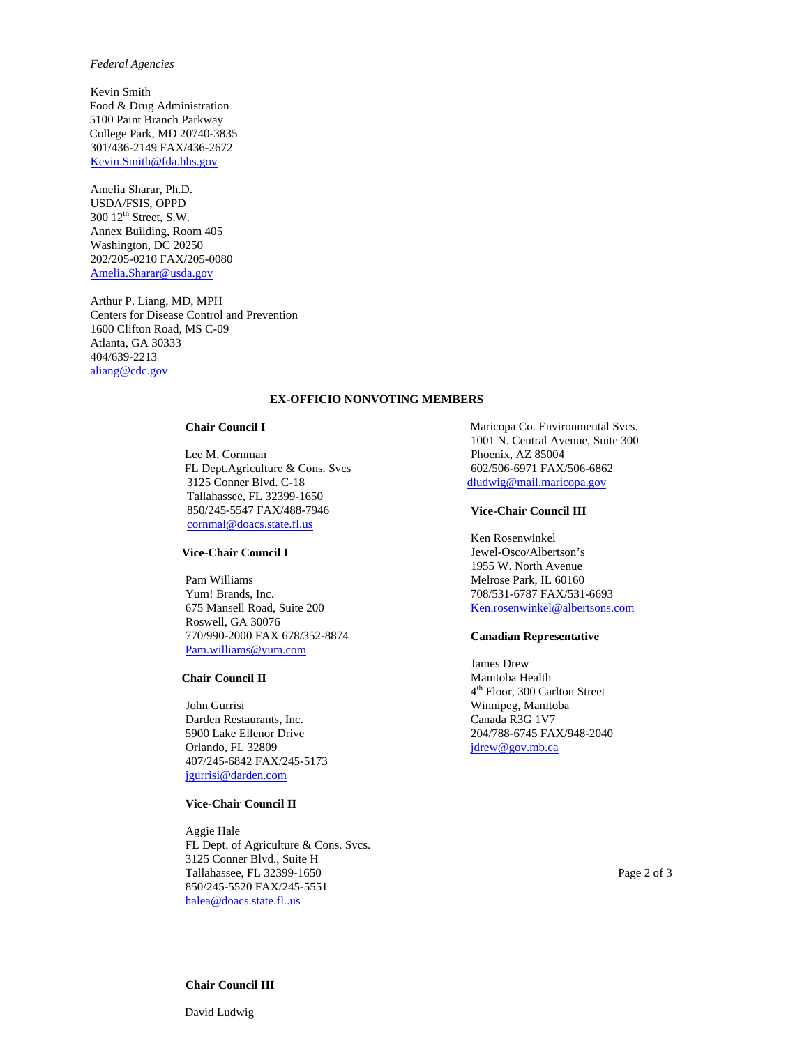## *Federal Agencies*

 Kevin Smith Food & Drug Administration 5100 Paint Branch Parkway College Park, MD 20740-3835 301/436-2149 FAX/436-2672 Kevin.Smith@fda.hhs.gov

Amelia Sharar, Ph.D. USDA/FSIS, OPPD 300 12th Street, S.W. Annex Building, Room 405 Washington, DC 20250 202/205-0210 FAX/205-0080 Amelia.Sharar@usda.gov

Arthur P. Liang, MD, MPH Centers for Disease Control and Prevention 1600 Clifton Road, MS C-09 Atlanta, GA 30333 404/639-2213 aliang@cdc.gov

## **EX-OFFICIO NONVOTING MEMBERS**

### **Chair Council I**

Lee M. Cornman FL Dept.Agriculture & Cons. Svcs 3125 Conner Blvd. C-18 Tallahassee, FL 32399-1650 850/245-5547 FAX/488-7946 cornmal@doacs.state.fl.us

## **Vice-Chair Council I**

Pam Williams Yum! Brands, Inc. 675 Mansell Road, Suite 200 Roswell, GA 30076 770/990-2000 FAX 678/352-8874 Pam.williams@yum.com

#### **Chair Council II**

John Gurrisi Darden Restaurants, Inc. 5900 Lake Ellenor Drive Orlando, FL 32809 407/245-6842 FAX/245-5173 jgurrisi@darden.com

### **Vice-Chair Council II**

Aggie Hale FL Dept. of Agriculture & Cons. Svcs. 3125 Conner Blvd., Suite H Tallahassee, FL 32399-1650 850/245-5520 FAX/245-5551 halea@doacs.state.fl..us

Maricopa Co. Environmental Svcs. 1001 N. Central Avenue, Suite 300 Phoenix, AZ 85004 602/506-6971 FAX/506-6862 dludwig@mail.maricopa.gov

#### **Vice-Chair Council III**

Ken Rosenwinkel Jewel-Osco/Albertson's 1955 W. North Avenue Melrose Park, IL 60160 708/531-6787 FAX/531-6693 Ken.rosenwinkel@albertsons.com

#### **Canadian Representative**

James Drew Manitoba Health 4th Floor, 300 Carlton Street Winnipeg, Manitoba Canada R3G 1V7 204/788-6745 FAX/948-2040 jdrew@gov.mb.ca

Page 2 of 3

## **Chair Council III**

David Ludwig